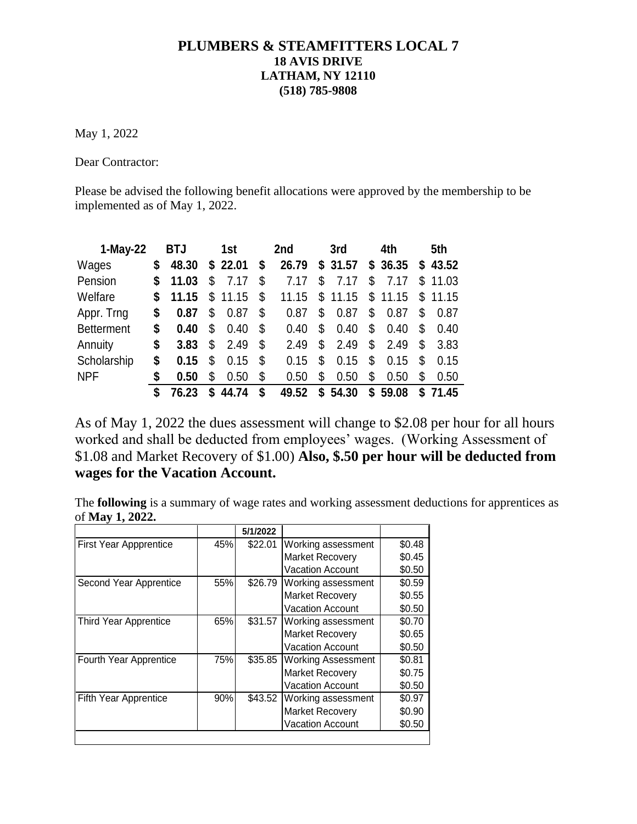## **PLUMBERS & STEAMFITTERS LOCAL 7 18 AVIS DRIVE LATHAM, NY 12110 (518) 785-9808**

May 1, 2022

Dear Contractor:

Please be advised the following benefit allocations were approved by the membership to be implemented as of May 1, 2022.

| $1-May-22$        |    | <b>BTJ</b> |    | 1st     | 2nd         |    | 3rd     |    | 4th     | 5th         |
|-------------------|----|------------|----|---------|-------------|----|---------|----|---------|-------------|
| Wages             | S  | 48.30      |    | \$22.01 | \$<br>26.79 |    | \$31.57 |    | \$36.35 | \$43.52     |
| Pension           | \$ | 11.03      | \$ | 7.17    | \$<br>7.17  | \$ | 7.17    | \$ | 7.17    | \$<br>11.03 |
| Welfare           | S. | 11.15      | \$ | 11.15   | \$<br>11.15 |    | \$11.15 |    | \$11.15 | \$11.15     |
| Appr. Trng        | S  | 0.87       | \$ | 0.87    | \$<br>0.87  | \$ | 0.87    | \$ | 0.87    | \$<br>0.87  |
| <b>Betterment</b> | \$ | 0.40       | \$ | 0.40    | \$<br>0.40  | \$ | 0.40    | \$ | 0.40    | \$<br>0.40  |
| Annuity           | \$ | 3.83       | \$ | 2.49    | \$<br>2.49  | \$ | 2.49    | \$ | 2.49    | \$<br>3.83  |
| Scholarship       | S  | 0.15       | \$ | 0.15    | \$<br>0.15  | \$ | 0.15    | \$ | 0.15    | \$<br>0.15  |
| <b>NPF</b>        | \$ | 0.50       | \$ | 0.50    | \$<br>0.50  | S  | 0.50    | \$ | 0.50    | \$<br>0.50  |
|                   | S  | 76.23      | S  | 44.74   | \$<br>49.52 |    | \$54.30 | S. | 59.08   | \$71.45     |

As of May 1, 2022 the dues assessment will change to \$2.08 per hour for all hours worked and shall be deducted from employees' wages. (Working Assessment of \$1.08 and Market Recovery of \$1.00) **Also, \$.50 per hour will be deducted from wages for the Vacation Account.** 

The **following** is a summary of wage rates and working assessment deductions for apprentices as of **May 1, 2022.**

| \$22.01<br>\$26.79<br>\$31.57 | Working assessment<br><b>Market Recovery</b><br><b>Vacation Account</b><br>Working assessment<br><b>Market Recovery</b><br><b>Vacation Account</b><br>Working assessment | \$0.48<br>\$0.45<br>\$0.50<br>\$0.59<br>\$0.55<br>\$0.50<br>\$0.70 |
|-------------------------------|--------------------------------------------------------------------------------------------------------------------------------------------------------------------------|--------------------------------------------------------------------|
|                               |                                                                                                                                                                          |                                                                    |
|                               |                                                                                                                                                                          |                                                                    |
|                               |                                                                                                                                                                          |                                                                    |
|                               |                                                                                                                                                                          |                                                                    |
|                               |                                                                                                                                                                          |                                                                    |
|                               |                                                                                                                                                                          |                                                                    |
|                               |                                                                                                                                                                          |                                                                    |
|                               | <b>Market Recovery</b>                                                                                                                                                   | \$0.65                                                             |
|                               | <b>Vacation Account</b>                                                                                                                                                  | \$0.50                                                             |
| \$35.85                       | <b>Working Assessment</b>                                                                                                                                                | \$0.81                                                             |
|                               | <b>Market Recovery</b>                                                                                                                                                   | \$0.75                                                             |
|                               | <b>Vacation Account</b>                                                                                                                                                  | \$0.50                                                             |
| \$43.52                       | Working assessment                                                                                                                                                       | \$0.97                                                             |
|                               | <b>Market Recovery</b>                                                                                                                                                   | \$0.90                                                             |
|                               | <b>Vacation Account</b>                                                                                                                                                  | \$0.50                                                             |
|                               |                                                                                                                                                                          |                                                                    |